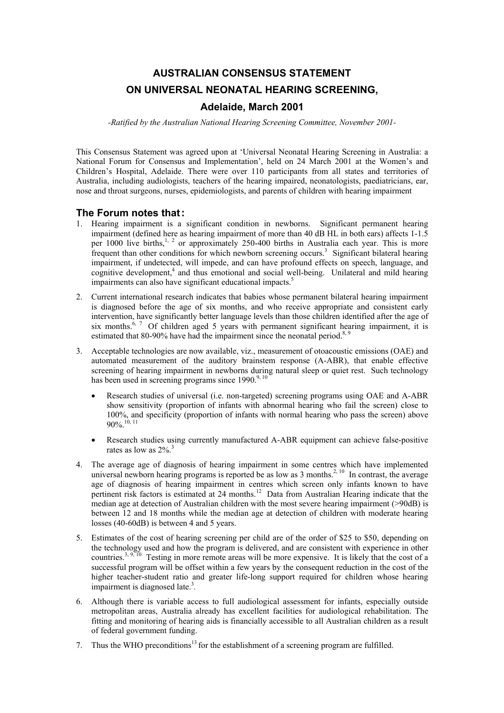# **AUSTRALIAN CONSENSUS STATEMENT ON UNIVERSAL NEONATAL HEARING SCREENING,**

### **Adelaide, March 2001**

*-Ratified by the Australian National Hearing Screening Committee, November 2001-*

This Consensus Statement was agreed upon at 'Universal Neonatal Hearing Screening in Australia: a National Forum for Consensus and Implementation', held on 24 March 2001 at the Women's and Children's Hospital, Adelaide. There were over 110 participants from all states and territories of Australia, including audiologists, teachers of the hearing impaired, neonatologists, paediatricians, ear, nose and throat surgeons, nurses, epidemiologists, and parents of children with hearing impairment

#### **The Forum notes that:**

- 1. Hearing impairment is a significant condition in newborns. Significant permanent hearing impairment (defined here as hearing impairment of more than 40 dB HL in both ears) affects 1-1.5 per 1000 live births,<sup>1, 2</sup> or approximately 250-400 births in Australia each year. This is more frequent than other conditions for which newborn screening occurs.<sup>3</sup> Significant bilateral hearing impairment, if undetected, will impede, and can have profound effects on speech, language, and cognitive development,<sup>4</sup> and thus emotional and social well-being. Unilateral and mild hearing impairments can also have significant educational impacts.<sup>5</sup>
- 2. Current international research indicates that babies whose permanent bilateral hearing impairment is diagnosed before the age of six months, and who receive appropriate and consistent early intervention, have significantly better language levels than those children identified after the age of six months.<sup>6, 7</sup> Of children aged 5 years with permanent significant hearing impairment, it is estimated that 80-90% have had the impairment since the neonatal period.<sup>8, 9</sup>
- 3. Acceptable technologies are now available, viz., measurement of otoacoustic emissions (OAE) and automated measurement of the auditory brainstem response (A-ABR), that enable effective screening of hearing impairment in newborns during natural sleep or quiet rest. Such technology has been used in screening programs since  $1990^{9,10}$ 
	- Research studies of universal (i.e. non-targeted) screening programs using OAE and A-ABR show sensitivity (proportion of infants with abnormal hearing who fail the screen) close to 100%, and specificity (proportion of infants with normal hearing who pass the screen) above  $90\%$ .<sup>10, 11</sup>
	- Research studies using currently manufactured A-ABR equipment can achieve false-positive rates as low as  $2\%$ .<sup>3</sup>
- 4. The average age of diagnosis of hearing impairment in some centres which have implemented universal newborn hearing programs is reported be as low as  $3 \text{ months}^{2, 10}$  In contrast, the average age of diagnosis of hearing impairment in centres which screen only infants known to have pertinent risk factors is estimated at 24 months.<sup>12</sup> Data from Australian Hearing indicate that the median age at detection of Australian children with the most severe hearing impairment (>90dB) is between 12 and 18 months while the median age at detection of children with moderate hearing losses (40-60dB) is between 4 and 5 years.
- 5. Estimates of the cost of hearing screening per child are of the order of \$25 to \$50, depending on the technology used and how the program is delivered, and are consistent with experience in other countries.<sup>3, 9, 10</sup> Testing in more remote areas will be more expensive. It is likely that the cost of a successful program will be offset within a few years by the consequent reduction in the cost of the higher teacher-student ratio and greater life-long support required for children whose hearing impairment is diagnosed late.<sup>3</sup>.
- 6. Although there is variable access to full audiological assessment for infants, especially outside metropolitan areas, Australia already has excellent facilities for audiological rehabilitation. The fitting and monitoring of hearing aids is financially accessible to all Australian children as a result of federal government funding.
- 7. Thus the WHO preconditions<sup>13</sup> for the establishment of a screening program are fulfilled.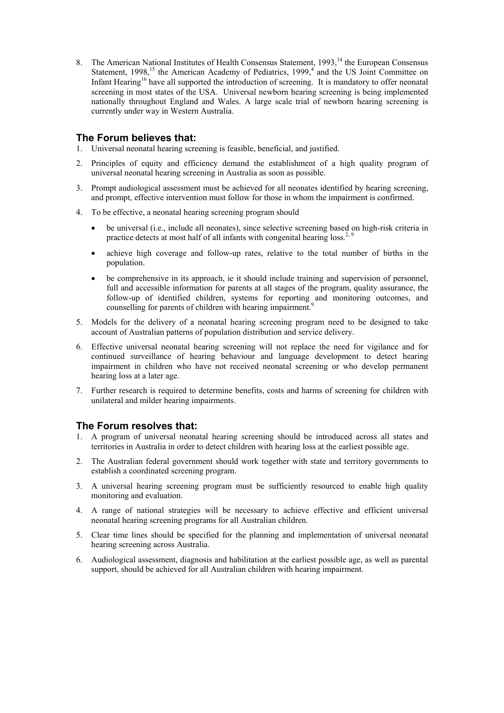8. The American National Institutes of Health Consensus Statement, 1993,<sup>14</sup> the European Consensus Statement, 1998,<sup>15</sup> the American Academy of Pediatrics, 1999,<sup>4</sup> and the US Joint Committee on Infant Hearing<sup>16</sup> have all supported the introduction of screening. It is mandatory to offer neonatal screening in most states of the USA. Universal newborn hearing screening is being implemented nationally throughout England and Wales. A large scale trial of newborn hearing screening is currently under way in Western Australia.

### **The Forum believes that:**

- 1. Universal neonatal hearing screening is feasible, beneficial, and justified.
- 2. Principles of equity and efficiency demand the establishment of a high quality program of universal neonatal hearing screening in Australia as soon as possible.
- 3. Prompt audiological assessment must be achieved for all neonates identified by hearing screening, and prompt, effective intervention must follow for those in whom the impairment is confirmed.
- 4. To be effective, a neonatal hearing screening program should
	- be universal (i.e., include all neonates), since selective screening based on high-risk criteria in practice detects at most half of all infants with congenital hearing  $loss^{2,9}$ .
	- achieve high coverage and follow-up rates, relative to the total number of births in the population.
	- be comprehensive in its approach, ie it should include training and supervision of personnel, full and accessible information for parents at all stages of the program, quality assurance, the follow-up of identified children, systems for reporting and monitoring outcomes, and counselling for parents of children with hearing impairment.<sup>9</sup>
- 5. Models for the delivery of a neonatal hearing screening program need to be designed to take account of Australian patterns of population distribution and service delivery.
- 6. Effective universal neonatal hearing screening will not replace the need for vigilance and for continued surveillance of hearing behaviour and language development to detect hearing impairment in children who have not received neonatal screening or who develop permanent hearing loss at a later age.
- 7. Further research is required to determine benefits, costs and harms of screening for children with unilateral and milder hearing impairments.

## **The Forum resolves that:**

- 1. A program of universal neonatal hearing screening should be introduced across all states and territories in Australia in order to detect children with hearing loss at the earliest possible age.
- 2. The Australian federal government should work together with state and territory governments to establish a coordinated screening program.
- 3. A universal hearing screening program must be sufficiently resourced to enable high quality monitoring and evaluation.
- 4. A range of national strategies will be necessary to achieve effective and efficient universal neonatal hearing screening programs for all Australian children.
- 5. Clear time lines should be specified for the planning and implementation of universal neonatal hearing screening across Australia.
- 6. Audiological assessment, diagnosis and habilitation at the earliest possible age, as well as parental support, should be achieved for all Australian children with hearing impairment.